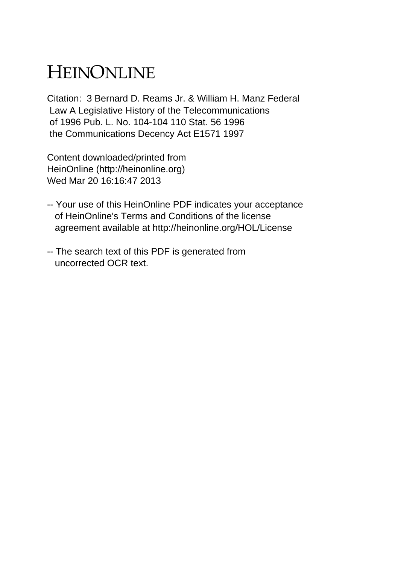# HEINONLINE

Citation: 3 Bernard D. Reams Jr. & William H. Manz Federal Law A Legislative History of the Telecommunications of 1996 Pub. L. No. 104-104 110 Stat. 56 1996 the Communications Decency Act E1571 1997

Content downloaded/printed from HeinOnline (http://heinonline.org) Wed Mar 20 16:16:47 2013

- -- Your use of this HeinOnline PDF indicates your acceptance of HeinOnline's Terms and Conditions of the license agreement available at http://heinonline.org/HOL/License
- -- The search text of this PDF is generated from uncorrected OCR text.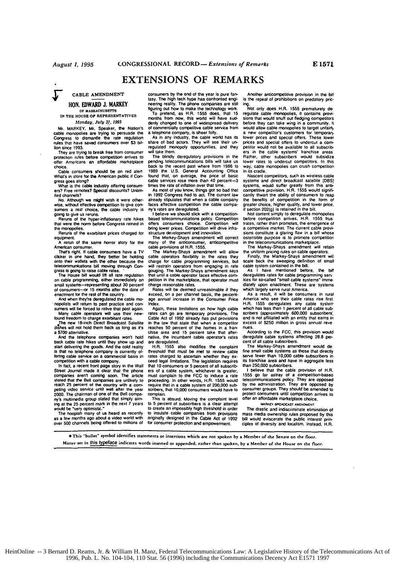### **EXTENSIONS** OF REMARKS

CABLE AMENDMENT

# **IV CABLE AREA**<br> **HON. EDWARD J. MARKEY**

#### **OF MASSACHUSETTS IN** THE **HOUSE OF** REPRESENTATIVES

*Monda,.* **July** *31. 1995* Mr. MARKEY. Mr. Speaker, the Nation's

cable monopolies are trying to persuade the Congress to dismantte the rate regulation **rules that** have saved consumers over **\$3 billion** since **1993.**

They are trying **to** break free **from** consumer protection rules before competition arrives to **offer** Americans an affordable marketplace

gress goes along?

ited channels?

wise, without effective competition to give **con** sumers a real choice, the cable industry is going to give us reruns.

**Reruns of the exorbitant prices charged for<br>equipment.**<br>A rerun of the same horror story for the

American consumer.

That's right **ift** cable consumers have a TV clicker **in** one hand, they better be holding onto **their** watets with the other because the telecommunications **bill** moving through Con- gress is going to raise cable rates. *"* The House bill would lift all rate regulation

on cable programming, either immediately on **small** systens--representing about **30** percent of consumers--or **15** months after the date of

enactment for the **rest of** the country. **And** when they're deregulated the cable **me**nopolists will return to past practice and con-sumers will be forced to refive that past again.

Many cable operators **will** use their new-found freedom to charge exorbitant rates. The new 18-inch Direct Broadcast Satellite

dishes will not hold them beck as long as **it's**

And the telephone companies won't hold **back** cable rate hikes until they show up and start delivering the goods. And the cold reality **Is that** no telephone company is currently **of**fering cable service on a commercial basis in<br>competition with a cable company.

competition with a cable company. **In** fact, a recent front page story in the Wall Street Journal made **it** dear that **the** phone companies aren't coming soon. The article stated that the Bell cormpanies are unlikely to reach 25 percent **of the** country with a **com-**peting video service until welt after the year 2000. The chairman **of** one **of** the Bell company's multimedia group stated **that** simply aim ing at the **25** percent mark in the next **7** years would be "very optimistic."<br>Would be "very optimistic."<br>The hooplah many of **us heard as recently** 

as a few months ago about a video world with over **500** channels being offered to millions **of**

consumers **by** the end of the year is pure fantasy. The high tech **hype** has confronted engi-neering reality. The phone compares are still figuring out how to make the technology work.

To pretend, as H.R. **1555** does, that **15** months from now, this world will have sud-denly changed to one of widespread delivery of commercially competitive cable service **from**

a telephone company, is sheer folly. As in any industry, the cable world has its share of bad actors. They will see their **un**regulated monopoly opportunities, and they will take them.

The blindly deregulatory provisions in the pending telecommunications bills **will** take us back to the recent past where from **1986** to **1989** the **U.S.** General Accounting Office found that. on average, the price of basic cable services rose more than 40 percent-3 times the rate of **inflation** over that time.

As most of you know, things got so bad that in **t992** Congress had to act The current law already stipulates that when a cable company faces effective competition the cable compa-ny's rates are deregulated.

**I** believe we should stick with a competitionbased telecommunications policy. Competition offers consumers choice. Competition will bring lower prices. Competition will drive infrastructure development and innovation.

The Markey-Shays amendment will correct many of the anticonsumer, anticompetitive cable provisions of H.R. **1555.**

The Markey-Shays amendment will allow cable operators flexibility in the rates they charge for cable programming services, but will restrain operators from engaging in rate gouging. The Markey-Shays amendment says that until a cable operator faces effective competition in the marketplace, that operator must charge reasonable rates.<br>Bates will be deemed

ates will be deemed unreasonable if they exceed, on a per channel basis, the percentage annual increase in the Consumer Price Index.

Again, these limitations on how high cable rates can go are temporary provisions. The Cable Act **of** 1992 already has put provisions **in** the law that state that when a competitor reaches **50** percent of the homes in a fran**chise** area and **15** percent take that after-native, the incumbent cable operator's rates are deregulated.<br>H.R. 1555 also modifies the complaint

threshold that must be met to review cable rates charged to ascertain whether they *ex*ceed legal lirritations. **The** legislation requires that **10** consumers or **5** percent of al subscrib-ers of a cable system, whichever is greater, must complain to the **FCC** to induce a rate proceeding. In other words, H.R. **1555** would require that in a cable system **of 200,000** sub-scribers, that **10,000** consumers would have to complain.

This is absurd. Moving the complaint level to **5** percent of subscribers is a **clear attempt to** create an impossibly high threshold in order to insulate cable companies from provisions originally designed in the Cable Act **of 1992** for consumer protection **and** empowerment

Another anticormpetitive provision in the **bil!** is the repeal **of** prohibitions on predatory pric-

ing. Not only does H.R. **1555** prematurely **de-**regulate cable monopolies, **I** contains provisions that would snuff out fledging competitors before they can take wing in a community. **It** would allow cable monopolies to target unfairy **a** new competitor's customers for temporar lower prices and special offers. These lower prices and special offers to undercut a competitor would not be available to all subscribers in the cable systems' franchise areas Rather, other subscribers would **subsidize** lower rates to undercut competitors. In this way, cable monopolies can crush competition in its cradle.

Nascent competitors, such as wireless cable systems and direct broadcast satellite [DBS] systems, would suffer greatly from this anti-competitive provision. H.R. **1555** would significantly thwart the ability **of** consumers to reap the benefits of competition in the **form** of greater choice, higher quality, and lower price,<br>if section 202(g) is retained in the bill.<br>Not content simply to deregulate monopolies

before competition arrives, **H.R. 1555 frus.** trates, rather than promotes, the emergence **of** a competitive market. The current cable provisions constitute a glaring flaw in a bill whose ostensible purpose is to promote competition in the telecommunications marketplace. The Markey-Shays amendment will retain

the uniform pricing rules on cable operators. Finally, the Markey-Shays amendment wil

scale back the sweeping definition of small cable system contained in the bill.

As I have mentioned before, the bilt<br>deregulates rates for cable programming serv ices for so-called "small cable systems" **imme-**diately upon enactment. These are systems which largely serve rural America. AS a result, it win be consumers **in rural**

America who see their cable rates **rise** first. **H.R. 1555** deregulates any cable system which has less than 1 percent of all cable subscribers (approximately **600,000** subscribers: and is not affiliated with an entity that earns in excess **of \$250** million in gross annual reve nues.

According to the **FCC,** this provision would deregulate cable systems affecting **28.8** percent of all cable subscribers.

The Markey-Shays **amendment** would **de** fine small cable systems as those that directly serve fewer than **10,000** cable subscribers in its franchise area **and** have in aggregate less than **250,000** subscribers.

**I** believe that the cable provision of H.R. **1555** go **far** astray **of** a coripetition-baseo telecommunications policy. They are opposed **by** the administration. They are opposed **by** consumer groups. They should be amended **to** protect consumers **until** competition arrives to offer an affordable marketplace choice.

**MARKEY BROADCAST AMENDMENT** 

The drastic and indiscriminate elimination of mass media ownership rules proposed **by** this bill would eviscerate the public interest **prin-**ciples of diversity and localism. Instead, H.R.

\* **This** "bullet" symbol identifies statements or insertions which **are** not spoken **by** a Member of the Senate on the floor. Matter set in this **typeface** indicates words insened or appended, rather than spoken, **by** a Member of the House on the floor.

choice.<br>Cable consumers should be on red aler What's in store for the American public if Con-

What is the cable Industry offering consum-ers? Free remotes? Special discounts? Untim-

No. Although we might wish it were other-

going to give us reruns.<br>- Reruns of the hyper-inflationary rate hikes<br>that were the norm before Congress reined in

the monopolies.

rerun of the same horror story for the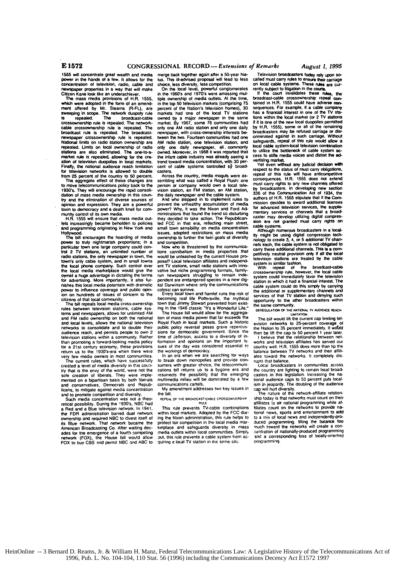**1555** wil concentrate great wealth and media power in the hands **of** a few. **It** allows for **the** concentration of television, radio, cable and newspaper properties **in** a way that will make Citizen Kane look like an underachiev

The mass media provisions of H.R. **1555.** which were adopted **in** the **form** of an amend**mert** offered by Mr. Steams (R-FL), are sweeping in scope. The network duopoly rule is repealed. The broadoast-cable crossownership **rule** is repealed. The networkcable crossownership rule is repealed. The broadcast rule is repealed. The broadcastnewspaper crossownership rule is repeated. Natonal limits on radio station ownership are repealed. Units on local ownership **of** radio stations are also eliminated. The one-to-a-<br>market rule is repealed, allowing for the creation of television duopolies in local markets. Finally, the national audience reach limitation for television networks is allowed to double from **25** percent of the country to **50** percent. The aggregate effect of these changes are

**to** move telecommunications policy back to the 1930's. They will encourage the rapid consolidation of mass media ownership in this country and the elimination **of** diverse sources of opinion and expression. They are a powerful **toxin** to democracy and a death knell for community control of its own media. H.R. **1555** wit ensure that mass media out-

lets increasingly became beholden to policies and programming originating in New York and Hollywood. The bill encourages the hoarding of media

power to truly nightmarish proportions; in a particular town one large company could con-<br>particular town one large company could con-<br>trol 2 TV stations, an unlimited number of TV stations, an unlimited radio stations, the only newspaper **in** town, the town's only cable system, and in small towns the local phone company. Such control over<br>the local media marketplace would give the<br>ownet a huge advantage in dictating the terms **for** advertising. More importantly, it also furnishes this local media potentate with dramatic power to influence coverage and public **opin**ion on hundreds **Of** issues of concern to the citizens of that local community.

The **bill** repeals local media cross-ownership rules between television stations, cable **tems** and newspapers, allows for unlimited AM and FM radio ownership on both the national and local levels, allows the national television networks to consolidate and to double their audience reach, and permits people to own 2 television stations within a community. Rather than promoting a forward-looking media policy for a **21st** century economy, these provisions return us to the 1930's-era when there were very few media owners in most communities.

te current rules, which have successfully created a level **of** media diversity in this country that is the envy of the world, were **not** the sole creation of liberals. They were implemented on a bipartisan basis by both liberals and conservatives, Democrats and Republicans, to mitigate against media concentration and to promote competition and diversity. **Such** media concentration was not a **theo-**

retical possibility. During the 1930's, **NBC** had a Red and a Blue television network. In 1941, **the FDR** administration barred dual network ownership and required **NBC** to divest **itself** of its Blue network. That network became the American Broadcasting Co. After waiting decades for the emergence of a fourth competing **network** (FOX), the House bill would allow FOX to **buy CBS** and permit **NBC** and **ABC** to

merge back together again after a 50-year hiatus. This ill-advised proposal will lead to less

choice, less diversity, less competition. On the local level, powerful conglomerates in **the** 1960's and 1970's were amassing mul**tiple** ownership of media outlets. At **the** time, in the top **50** television markets (comprising **75** percent of the Nation's television homes), **30** markets had one of the local TV stations owned by a major newspaper in the same market. **By 1967,** some **76** communities had only one AM radio station and only one daily newspaper, with cross-ownership interests **be**tween **the** two. Fourteen communities had one AM radio station, one television station, and only one daily newspaper, all. commonly owned. Moreover, in **1968** it was reported that the infant cable industry was already seeing a trend toward media concentration, with **30** percent of cable systems controlled by broad-<br>casters.

Across the country, media moguls were assembling what was called a Royal Flush: one person or company would own a local tele-vision station, an FM station, an AM station, the daily newspaper and the cable system.

**And** who stepped in to implement rules to prevent **the** unhealthy accumulation of media power? **Why, it** was the Nixon and Ford **Ad**ministrations that found the trend so disturbing they decided to take action. The Republicanled **FCC** in that era, reflecting main street, small town sensibility on media concentration issues, adopted restrictions on mass media ownership to further the twin goals of diversity and competitio

Now who is threatened **by** the communications cannibalism in media properties that would **be** unleashed **by** the current House proposal? Local television affiliates and independ-ent TV stations, small radio stations with **innovative** but niche programming formats. familyrun newspapers struggling to remain **inde**pendent are endangered species in a new digital Darwinism where only the communications colossi can survive. Every local town and hamlet runs the risk of

becoming real life Pottersville, the mythical<br>town that Jimmy Stewart prevented from exist-<br>ing in the 1946 classic "It's a Wonderful Life."<br>The House bill would allow for the aggrega-

tion of mass media power that far exceeds the Royal Flush in local markets. **Such** a historic public policy reversal poses grave repercus-**sions** for democratic government. Since the time **of** Jefferson, access **to** a diversity **of in**formation and opinions on the important issues of the day was considered essential **to** the workings of democracy. In an era when we are searching for ways

to break **down** monopolies and provide consumers with greater **choice,** the telecommuni cations bill returns us to a bygone era and resurrects **the** possibility that the emerging multimedia milieu will be dominated **by** a few communications cartels. **My** amendment addresses two key issues iv

the bill.

**REPEAL OF THE BROACAST-CABLE CPOSSCWNERSHP RULE**

This rule prevents TV-cable combinations within local markets. Adopted **by the FCC** during the Nixon administration, this **rule** helps to protect fair competition in the local media mar-ketplace and safeguards diversity in mass media outlets **within** local communities. Simply put, this rule prevents a cable system from acquiring **a** locai TV station in the same city.

Television broadcasters today rely upon **so**called **must** carry rules to **ensure their** carriage on locat cable systems. These rules are currently subject to litigation in the courts,

**If** the court invalidates these **rules, the** broadcast-cabte crsssownership repeal con. tained in H.R. **1555** could have adverse **con**sequences. For example, **it** a cable **company** has a financial interest in one of **the** TV **stations** within the local market (or 2 TV stations **it** it is one of **the** new local duopolies permitted by H.R. **1555),** some or all of the remaining broadcasters may **be** refused carriage or discriminated against in such carriage. safeguards, repeal of this rule would allow a local cable system-local television **combination** to utilize the bottleneck of cable system as cess to **stifle** media voices and distort **the** advertising markst

Yet even without any tudicial decision with respect to the status of **must** carry obligations, repeal of this rule **wit** have anticonoptitive consequences. H.R. **1555** does not extend must carry **rights** to any **new** channels offered **by** broadcasters. In developing new section **336** of the Communication Act of 1934. the authors of **H.R. 1555** stipulate that if the Cornmission decides to award additional licenses for advanced television services, the supplementary services or channels that a broad-caster may develop utilizing digital compres**sion** are not granted mast carry **rights** on cable systems.

Although numerous broadcasters in **a** local-**ity** might be using digital compression tech-nology to create **3,** 4, or **5** additional TV charynets each, the cable system is not obligated to carry these additional channels. **This Is** a corn-petitively neutral provision **only it an the local** television stations are treated **by** the cable system In similar fashion. With repeal **of** the broadcast-cable

crossownership rule, however, the local cable system could immediately favor the felevision station in which it had a financial interest. The cable system could do **this** simply by carrying the additional or supplementary channels and services of that TV station **and** denying such opportunity to the other broadcasters within the same community.

**OEREGULATION OF THE NATIONAL TV AUDIENCE REACH<br>
LIMITATION<br>The bill would lift the current cap limiting tel-**

evision networks to 25-percent coverage of the Nation to **35** percent immediately. It wotild then be lift the **cap** to **50** percent **1** year later. **I** believe that **the** relationship between net-

works and television affiliates has served our country well. **H.R. 1555** does more than **tip** the balance between TV networks and their affili**ates** toward the networks. It completely disrupts that balance. Local broadcasters in communities across

the country are fighting **to** remain local broad-casters in this legisltfion. Increasing the **na**tional audience caps to **50** percent puts local-**ism in jeopardy.** The doubling of the audience cap will hurt diversity. The nature of the network-affiliate relation-

ship today is that networks must count on their affiliates to air national programming while affiliates count on the networks to provide na**tional** news, sports and entertainment to add a mix of local news and independently-produced programming. lilting the balance too much toward the networks will create **a** concentration of nationally-produced programming and a corresponding loss of locally-oriented orogrammirn.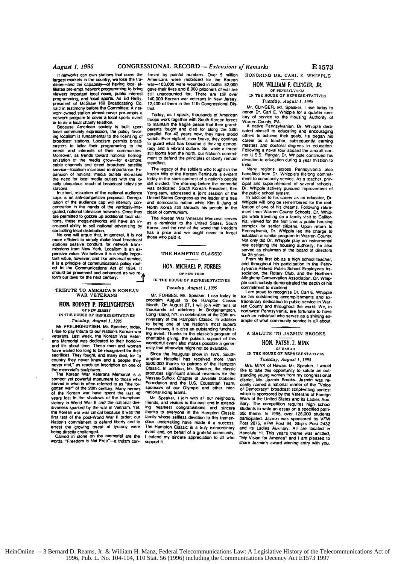**It** networks can own stations that cover the largest markets in the country, we lose the tra-<br>dition-and the capability--of having local af-<br>filiates pre-empt network programming to bring viewers important local news, public interest programming, and local **sports.** As **Ed** Reilly, president of McGraw Hill Broadcasting Co. said in testimony before the Committee: **A** network owned station almost never pre-empts a network program to cover a local sports event or to air a local charity telethon.

Because American society is built upon local community expression. the policy favor-ing tocalism is fundamental to the licensing **of** broadcast stations. Localism permits broadcasters to tailor their programming to the needs and interests **of** their communities. Moreover, as trends toward national homog-enization of the media grow-for example, cable channels **and** direct broadcast satellite service-localism increases in importance. Expansion of national media outlets increases the need for local media outlets with the **Io**cally ubiquitous reach **of** broadcast television stations.

In short. **relaxation** of the national audience caps is an anti-compettitive proposal. Deregulation of the audience cap will intensity concentration in the hands of **the** vertically-integrated, national television networks. Once they are permitted to gobble **up** additional local staeons, **these** mega-networks will have an in-creased abiltity to sell national advertising **by**

controlling local **distribution.** No one will argue that in general. **it** is not more efficient to simply make **local** broadcast stations passive conduits for network **trans-**missions from New York. Localism is **an** *ex-*pensive value. We **believe** I Is a vitally important value, however, and **like** universal service, **it** Is a principle of communications policy rooted In the Communications Act **of** 1934. **it** should be preserved **and** enhanced as we re-form our laws for the **next** century.

#### TRIBUTE TO **AMERICA'S** KOREAN WAR VETERANS

### **HON. RODNEY P. FRELINGHUYSEN**

OF **NEW JEaSY IN** THE **HOUSE** OF REPRESENTATIVES *Tuesday.* August **1,** *1995*

Mr. **FRELINGHUYSEN.** Mr. Speaker, today, **I** rise to pay tribute to our **Natlon's** Korean war veterans. Last week, the Korean War Veter-ans Memorial **was** dedicated to their honorand it's about time. These men and women have waited too long to be recognized for their sacrifices. They **fought,** and many died, for **"a**

country they never knew and a people they<br>never met," as reads an inscription on one of<br>the memorial's sculptures.<br>The Korean War Veterans Memorial is a<br>somber yet powerly memorial to those who<br>seved in what is often nefer victory in World War **It** and the national divsiveness sparked **by** the war in Vietnam. Yet. the Korean war was critical because it was the first test of the post-World War **II** order; our Nation's commitment to defend liberty **and 10** arrest the growing threat of tyranny were

being directly challenged. Carved **in** stone on the memorial are the words, "Freedom is Not Free-a **truism con-**

firmed **by** painful numbers. Over **5** million Americans were mobilized for the Korean war-103,000 were wounded in batte, **52,000** gave their lives and **8,000** prisoners **of** war are still unaccounted for. There are still over 140,000 Korean war veterans **in** New Jersey, 12,400 of them in the 1 **tth** Congressional Dis trict.

Today, as **I** speak, thousands of American troops work together with South Korean forces to maintain the fragile peace that their grandparents fought and died for along the 38th parallel. For 42 years now, they have stood watch. Ever vigilant, ever **brave,** they continue **to** guard what has become a thriving democ racy and a vibrant culture. **So.** while a threat still **looms** from the north, our Nation's commit ment to defend the principles **of** liberty remain steadfast.

The legacy of the soldiers who fought in the<br>frozen bills of the Korean Peninsula is evident frozen hills of the Korean Peninsula is evident today in the stark contrast **of** a nation's people still divided. The morning before the memorial" was dedicated, South Korea's President, Kim Yong-sam. addressed a **joint** session of the United States Congress as the leader of a free<br>and democratic nation while Kim II Jung of and democratic nation **while Kim II** Jung of North Korea still shrouds his people in the cloak of communism.

The Korean War Veterans Memorial serves as a reminder to the United States, South<br>Korea, and the rest of the world that freedom Korea, and the rest of the world that freedom has a price and we ought never to forget those who paid **it.**

#### THE HAMPTON **CLASSIC**

### **HON. MICHAEL** P. FORBES

**OF NEW YORK IN THE HOUSE OF REPRESENTATIVES**

*Tuesday.* August *1, 1995*

Mr. FORBES. Mr. Speaker, **I** rise today to proclaim August to be Hampton Classic Month. On August **27,** I will **join** with tens of thousands of admirers in Bridgehampton, Long Island, NY, **in** celebration **of** the 20th **an-** niversary of the Hampton Classic. In addition to being one of **the** Nation's most superb horseshows, it is also an outstanding fundrais- **ing** event. Thanks **to** the classic's program **of** charitable giving, the public's suppon of this wonderful event also makes possible a generosity that otherwise might **not** be available.

Since the inaugural show in **1976,** Southampton Hospital has received more than<br>\$500,000 thanks to patrons of the Hampton<br>Classic. In addition, Mr. Speaker, the classic produces significant annual revenues for the Nassau-Suffolk Chapter **of** Juvenile Diabetes Foundation and the **U.S.** Equestrian Team, sponsors of our Olympic and other inter national riding teams.

Mr. Speaker, **I** join with **all our** neighbors, ing heartiest congratulations and sincere thanks to everyone in the Hampton Classic<br>tarnity whose selfless devotion to this tremendous undertaking have made it a success.<br>The Hampton Classic is a truly extraordinary event and, on behalf of a grateful community, **<sup>I</sup>**extend my sincere appreciation to all who support **t**

#### HONORING DR. CARL **E.** WHIPPLE

#### **HON.** WILLIAM F. **CLIN'GER,** JR. **OF PENNSYLVANIA**

**IN** THE **HOUSE OF** REPRESENTATIVES

*Tuesday, August 1, 1995* honor Dr. Carl E. Whipple for a quarter cenfury **of** service to the Housing Authority of

Warren County, PA. **A** native Pennsylvanian. Dr. Whipple dedicated himself to educating and encouraging others to achieve their goals, He began his career as **a** teacher. subsequently earning masters and doctoral degrees in education. Following a naval tour aboard the aircraft car-rier **U.S.S.** Ranger, Dr. Whipple continued his devotion to education during a year mission to

India. Many regions across Pennsylvania also benefited **from** Dr. Whipple's **lifelong** commitment to community service. As a teacher, pincipal and superintendent of several schools, **Dr.** Whipple actively pursued improvement of

the public school system. In addition to his career as **an** educator, Dr. Whipple will long be remembered for the realization **of** one **of** his dreams. Following retirement from Warren County Schools, Dr. Whip-<br>ple while traveling on a family visit to Califor-<br>nia, viewed for the first time a public housing<br>complex for senior citizens. Upon return to Pennsylvania, Dr. Whipple led the charge to establish a similar program in Warren County. Not only did Dr. Whipple play an instrumental role designing the housing authority, he also served as chairman of the board of directors for **25** years.

From **his** first job **as** a high school teacher, **and** throughout his participation in **the Penn**sylvania Retired Public School Employees As-sociation. the Rotary Club, and the Northern Allegheny Conservation Association, Dr. **Whip**ple continuously demonstrated the depth of his

commitment to mankind. I am proud to recognize **Dr.** Carl **E.** Whipple for his outstanding accomplishments and traordinary dedication **to** public service in Warren County and throughout the world. **We.** in northwest Pennsylvania. are fortunate to have such an individual who serves as a **shining ex**ample **of** what community service **is all** about.

## **A** SALUTE TO JAZMIN BROOKS

#### **HON.** PASY.T. **MINK** OF HAWAII

**IN** THE **HOUSE OF** REPRESENTATIVES *Tuesday,* August *1, 1995*

Mrs. MINK of Hawaii. Mr. Speaker. I would like to take this opportunity to salute an outstanding young women from my congressiona<br>district, Ms. Jazmin Brooks. Jazmin was re-<br>cently named a national winner of the "Voice of Democracy" broadcast Scripwriting contest which is sponsored **by** the Veterans of Foreign Wars **of** the United States and its Ladies **Aux**iliary. The competition requires high school students to write an essay on a specified patoofic theme. In **1995,** over **126.000** students participated. Jazmn was sponsored **by** VFW Post **2875,** VFW Post **94,** Ship's Post 2432 **and** its Ladies Auxiliary. **All** are located in Honolulu **HI.** This year's theme was entitled, My Vision for America" and **I** am pleased to share Jazmin's award winning entry with you.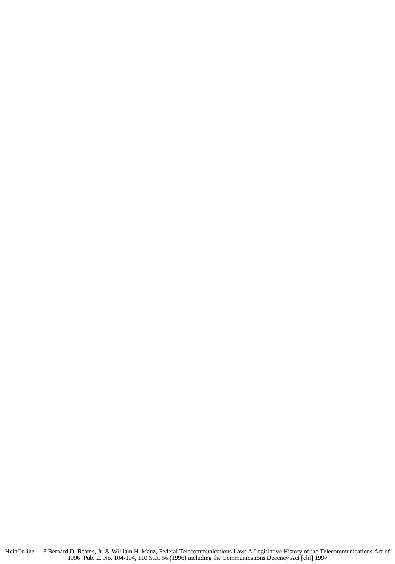HeinOnline -- 3 Bernard D. Reams, Jr. & William H. Manz, Federal Telecommunications Law: A Legislative History of the Telecommunications Act of 1996, Pub. L. No. 104-104, 110 Stat. 56 (1996) including the Communications Decency Act [clii] 1997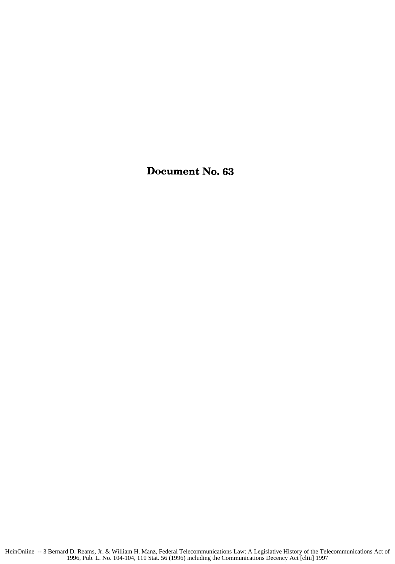Document No. **63**